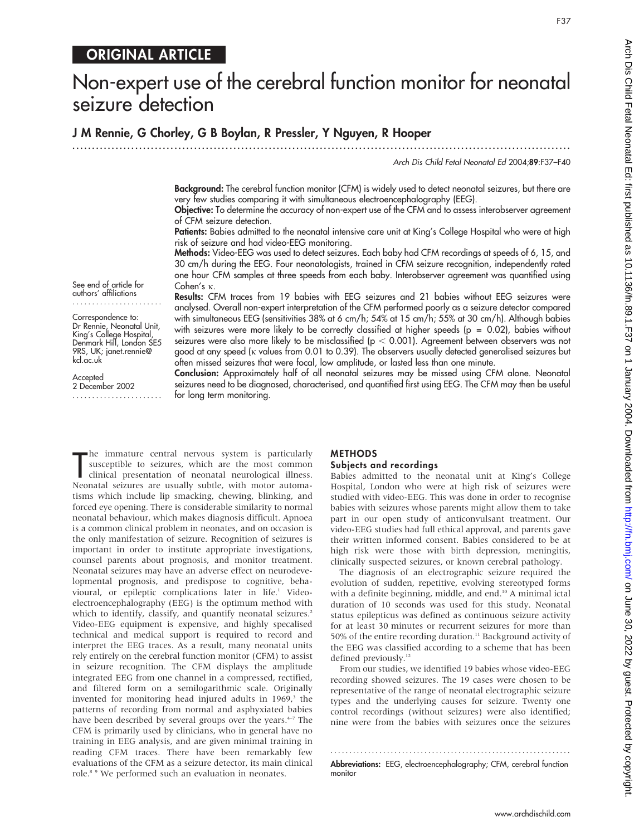# ORIGINAL ARTICLE

# Non-expert use of the cerebral function monitor for neonatal seizure detection

# J M Rennie, G Chorley, G B Boylan, R Pressler, Y Nguyen, R Hooper

.............................................................................................................................. .

Arch Dis Child Fetal Neonatal Ed 2004;89:F37–F40

F37

Background: The cerebral function monitor (CFM) is widely used to detect neonatal seizures, but there are very few studies comparing it with simultaneous electroencephalography (EEG).

Objective: To determine the accuracy of non-expert use of the CFM and to assess interobserver agreement of CFM seizure detection.

Patients: Babies admitted to the neonatal intensive care unit at King's College Hospital who were at high risk of seizure and had video-EEG monitoring.

Methods: Video-EEG was used to detect seizures. Each baby had CFM recordings at speeds of 6, 15, and 30 cm/h during the EEG. Four neonatologists, trained in CFM seizure recognition, independently rated one hour CFM samples at three speeds from each baby. Interobserver agreement was quantified using  $Cohen's  $\kappa$ .$ Results: CFM traces from 19 babies with EEG seizures and 21 babies without EEG seizures were

See end of article for authors' affiliations .......................

Correspondence to: Dr Rennie, Neonatal Unit, King's College Hospital, Denmark Hill, London SE5 9RS, UK; janet.rennie@ kcl.ac.uk

Accepted 2 December 2002 .......................

analysed. Overall non-expert interpretation of the CFM performed poorly as a seizure detector compared with simultaneous EEG (sensitivities 38% at 6 cm/h; 54% at 15 cm/h; 55% at 30 cm/h). Although babies with seizures were more likely to be correctly classified at higher speeds (p = 0.02), babies without seizures were also more likely to be misclassified ( $p < 0.001$ ). Agreement between observers was not good at any speed (k values from 0.01 to 0.39). The observers usually detected generalised seizures but often missed seizures that were focal, low amplitude, or lasted less than one minute.

Conclusion: Approximately half of all neonatal seizures may be missed using CFM alone. Neonatal seizures need to be diagnosed, characterised, and quantified first using EEG. The CFM may then be useful for long term monitoring.

The immature central nervous system is particularly<br>susceptible to seizures, which are the most common<br>clinical presentation of neonatal neurological illness.<br>Neonatal seizures are usually subtle, with motor automahe immature central nervous system is particularly susceptible to seizures, which are the most common clinical presentation of neonatal neurological illness. tisms which include lip smacking, chewing, blinking, and forced eye opening. There is considerable similarity to normal neonatal behaviour, which makes diagnosis difficult. Apnoea is a common clinical problem in neonates, and on occasion is the only manifestation of seizure. Recognition of seizures is important in order to institute appropriate investigations, counsel parents about prognosis, and monitor treatment. Neonatal seizures may have an adverse effect on neurodevelopmental prognosis, and predispose to cognitive, behavioural, or epileptic complications later in life.<sup>1</sup> Videoelectroencephalography (EEG) is the optimum method with which to identify, classify, and quantify neonatal seizures.<sup>2</sup> Video-EEG equipment is expensive, and highly specalised technical and medical support is required to record and interpret the EEG traces. As a result, many neonatal units rely entirely on the cerebral function monitor (CFM) to assist in seizure recognition. The CFM displays the amplitude integrated EEG from one channel in a compressed, rectified, and filtered form on a semilogarithmic scale. Originally invented for monitoring head injured adults in  $1969$ ,<sup>3</sup> the patterns of recording from normal and asphyxiated babies have been described by several groups over the years.<sup>4-7</sup> The CFM is primarily used by clinicians, who in general have no training in EEG analysis, and are given minimal training in reading CFM traces. There have been remarkably few evaluations of the CFM as a seizure detector, its main clinical role.<sup>8</sup> <sup>9</sup> We performed such an evaluation in neonates.

# **METHODS**

#### Subjects and recordings

Babies admitted to the neonatal unit at King's College Hospital, London who were at high risk of seizures were studied with video-EEG. This was done in order to recognise babies with seizures whose parents might allow them to take part in our open study of anticonvulsant treatment. Our video-EEG studies had full ethical approval, and parents gave their written informed consent. Babies considered to be at high risk were those with birth depression, meningitis, clinically suspected seizures, or known cerebral pathology.

The diagnosis of an electrographic seizure required the evolution of sudden, repetitive, evolving stereotyped forms with a definite beginning, middle, and end.<sup>10</sup> A minimal ictal duration of 10 seconds was used for this study. Neonatal status epilepticus was defined as continuous seizure activity for at least 30 minutes or recurrent seizures for more than 50% of the entire recording duration.<sup>11</sup> Background activity of the EEG was classified according to a scheme that has been defined previously.<sup>12</sup>

From our studies, we identified 19 babies whose video-EEG recording showed seizures. The 19 cases were chosen to be representative of the range of neonatal electrographic seizure types and the underlying causes for seizure. Twenty one control recordings (without seizures) were also identified; nine were from the babies with seizures once the seizures

............................................................... . Abbreviations: EEG, electroencephalography; CFM, cerebral function monitor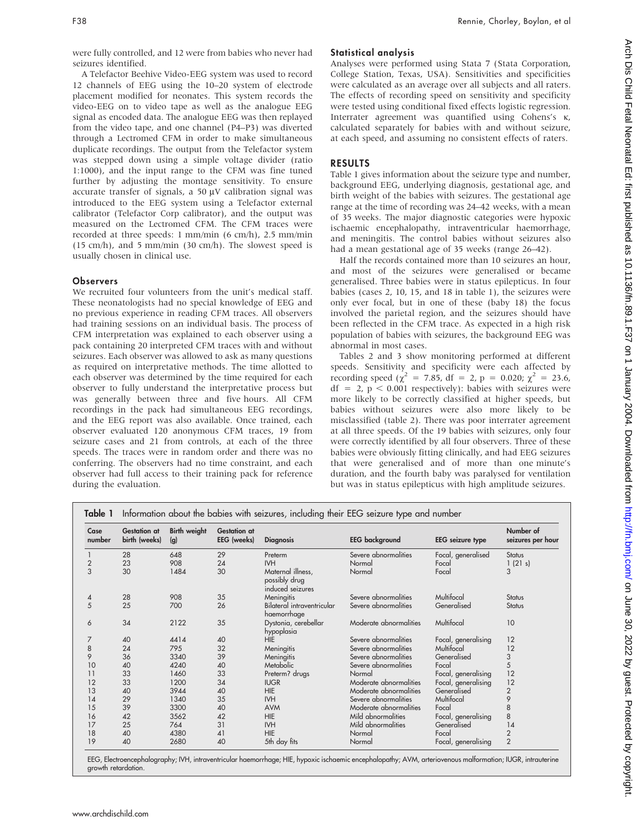were fully controlled, and 12 were from babies who never had seizures identified.

A Telefactor Beehive Video-EEG system was used to record 12 channels of EEG using the 10–20 system of electrode placement modified for neonates. This system records the video-EEG on to video tape as well as the analogue EEG signal as encoded data. The analogue EEG was then replayed from the video tape, and one channel (P4–P3) was diverted through a Lectromed CFM in order to make simultaneous duplicate recordings. The output from the Telefactor system was stepped down using a simple voltage divider (ratio 1:1000), and the input range to the CFM was fine tuned further by adjusting the montage sensitivity. To ensure accurate transfer of signals, a  $50 \mu V$  calibration signal was introduced to the EEG system using a Telefactor external calibrator (Telefactor Corp calibrator), and the output was measured on the Lectromed CFM. The CFM traces were recorded at three speeds: 1 mm/min (6 cm/h), 2.5 mm/min (15 cm/h), and 5 mm/min (30 cm/h). The slowest speed is usually chosen in clinical use.

#### **Observers**

We recruited four volunteers from the unit's medical staff. These neonatologists had no special knowledge of EEG and no previous experience in reading CFM traces. All observers had training sessions on an individual basis. The process of CFM interpretation was explained to each observer using a pack containing 20 interpreted CFM traces with and without seizures. Each observer was allowed to ask as many questions as required on interpretative methods. The time allotted to each observer was determined by the time required for each observer to fully understand the interpretative process but was generally between three and five hours. All CFM recordings in the pack had simultaneous EEG recordings, and the EEG report was also available. Once trained, each observer evaluated 120 anonymous CFM traces, 19 from seizure cases and 21 from controls, at each of the three speeds. The traces were in random order and there was no conferring. The observers had no time constraint, and each observer had full access to their training pack for reference during the evaluation.

#### Statistical analysis

Analyses were performed using Stata 7 (Stata Corporation, College Station, Texas, USA). Sensitivities and specificities were calculated as an average over all subjects and all raters. The effects of recording speed on sensitivity and specificity were tested using conditional fixed effects logistic regression. Interrater agreement was quantified using Cohens's k, calculated separately for babies with and without seizure, at each speed, and assuming no consistent effects of raters.

### RESULTS

Table 1 gives information about the seizure type and number, background EEG, underlying diagnosis, gestational age, and birth weight of the babies with seizures. The gestational age range at the time of recording was 24–42 weeks, with a mean of 35 weeks. The major diagnostic categories were hypoxic ischaemic encephalopathy, intraventricular haemorrhage, and meningitis. The control babies without seizures also had a mean gestational age of 35 weeks (range 26–42).

Half the records contained more than 10 seizures an hour, and most of the seizures were generalised or became generalised. Three babies were in status epilepticus. In four babies (cases 2, 10, 15, and 18 in table 1), the seizures were only ever focal, but in one of these (baby 18) the focus involved the parietal region, and the seizures should have been reflected in the CFM trace. As expected in a high risk population of babies with seizures, the background EEG was abnormal in most cases.

Tables 2 and 3 show monitoring performed at different speeds. Sensitivity and specificity were each affected by recording speed ( $\chi^2 = 7.85$ , df = 2, p = 0.020;  $\chi^2 = 23.6$ ,  $df = 2$ ,  $p < 0.001$  respectively): babies with seizures were more likely to be correctly classified at higher speeds, but babies without seizures were also more likely to be misclassified (table 2). There was poor interrater agreement at all three speeds. Of the 19 babies with seizures, only four were correctly identified by all four observers. Three of these babies were obviously fitting clinically, and had EEG seizures that were generalised and of more than one minute's duration, and the fourth baby was paralysed for ventilation but was in status epilepticus with high amplitude seizures.

| Case<br>number | <b>Gestation at</b><br>birth (weeks) | <b>Birth weight</b><br>(q) | <b>Gestation at</b><br>EEG (weeks) | <b>Diagnosis</b>                                       | <b>EEG</b> background  | <b>EEG</b> seizure type | Number of<br>seizures per hour |
|----------------|--------------------------------------|----------------------------|------------------------------------|--------------------------------------------------------|------------------------|-------------------------|--------------------------------|
|                | 28                                   | 648                        | 29                                 | Preterm                                                | Severe abnormalities   | Focal, generalised      | <b>Status</b>                  |
| $\overline{2}$ | 23                                   | 908                        | 24                                 | <b>IVH</b>                                             | Normal                 | Focal                   | 1(21 s)                        |
| 3              | 30                                   | 1484                       | 30                                 | Maternal illness.<br>possibly drug<br>induced seizures | Normal                 | Focal                   | 3                              |
| 4              | 28                                   | 908                        | 35                                 | Meningitis                                             | Severe abnormalities   | Multifocal              | <b>Status</b>                  |
| 5              | 25                                   | 700                        | 26                                 | Bilateral intraventricular<br>haemorrhage              | Severe abnormalities   | Generalised             | <b>Status</b>                  |
| 6              | 34                                   | 2122                       | 35                                 | Dystonia, cerebellar<br>hypoplasia                     | Moderate abnormalities | Multifocal              | 10                             |
| 7              | 40                                   | 4414                       | 40                                 | <b>HIE</b>                                             | Severe abnormalities   | Focal, generalising     | 12                             |
| 8              | 24                                   | 795                        | 32                                 | Meningitis                                             | Severe abnormalities   | Multifocal              | 12                             |
| 9              | 36                                   | 3340                       | 39                                 | Meningitis                                             | Severe abnormalities   | Generalised             | 3                              |
| 10             | 40                                   | 4240                       | 40                                 | Metabolic                                              | Severe abnormalities   | Focal                   | 5                              |
| 11             | 33                                   | 1460                       | 33                                 | Preterm? drugs                                         | Normal                 | Focal, generalising     | 12                             |
| 12             | 33                                   | 1200                       | 34                                 | <b>IUGR</b>                                            | Moderate abnormalities | Focal, generalising     | 12                             |
| 13             | 40                                   | 3944                       | 40                                 | <b>HIE</b>                                             | Moderate abnormalities | Generalised             | $\overline{2}$                 |
| 14             | 29                                   | 1340                       | 35                                 | <b>IVH</b>                                             | Severe abnormalities   | Multifocal              | 9                              |
| 15             | 39                                   | 3300                       | 40                                 | <b>AVM</b>                                             | Moderate abnormalities | Focal                   | 8                              |
| 16             | 42                                   | 3562                       | 42                                 | HIE                                                    | Mild abnormalities     | Focal, generalising     | 8                              |
| 17             | 25                                   | 764                        | 31                                 | <b>IVH</b>                                             | Mild abnormalities     | Generalised             | 14                             |
| 18             | 40                                   | 4380                       | 41                                 | HIE                                                    | Normal                 | Focal                   | $\overline{2}$                 |
| 19             | 40                                   | 2680                       | 40                                 | 5th day fits                                           | Normal                 | Focal, generalising     | $\overline{2}$                 |

EEG, Electroencephalography; IVH, intraventricular haemorrhage; HIE, hypoxic ischaemic encephalopathy; AVM, arteriovenous malformation; IUGR, intrauterine growth retardation.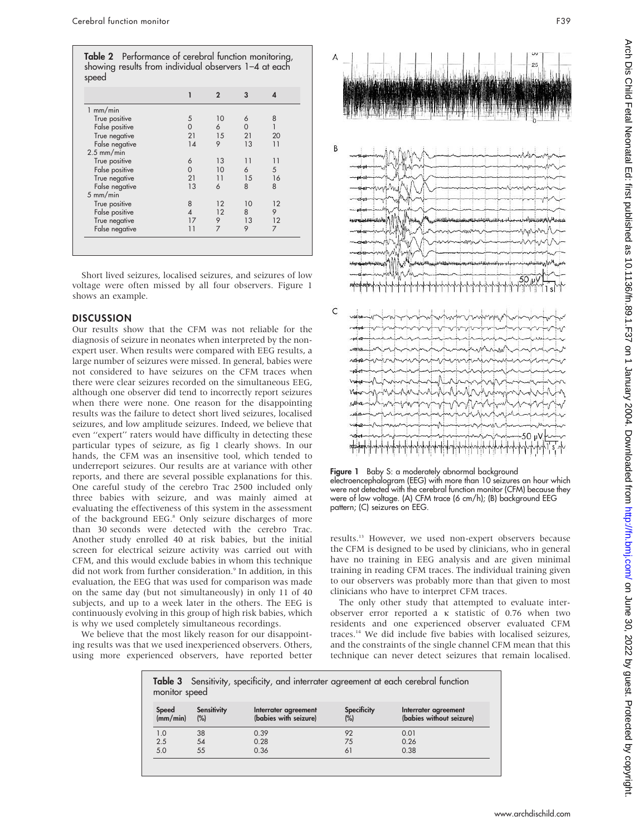|                    | ı              | $\overline{2}$ | 3        | $\boldsymbol{\Delta}$ |
|--------------------|----------------|----------------|----------|-----------------------|
| $1$ mm/min         |                |                |          |                       |
| True positive      | 5              | 10             | 6        | 8                     |
| False positive     | $\Omega$       | 6              | $\Omega$ |                       |
| True negative      | 21             | 15             | 21       | 20                    |
| False negative     | 14             | 9              | 13       | 11                    |
| $2.5$ mm/min       |                |                |          |                       |
| True positive      | 6              | 13             | 11       | 11                    |
| False positive     | $\Omega$       | 10             | 6        | 5                     |
| True negative      | 21             | 11             | 15       | 16                    |
| False negative     | 13             | 6              | 8        | 8                     |
| $5 \text{ mm/min}$ |                |                |          |                       |
| True positive      | 8              | 12             | 10       | 12                    |
| False positive     | $\overline{4}$ | 12             | 8        | 9                     |
| True negative      | 17             | 9              | 13       | 12                    |
| False negative     | 11             | $\overline{7}$ | 9        | 7                     |

Short lived seizures, localised seizures, and seizures of low voltage were often missed by all four observers. Figure 1 shows an example.

#### **DISCUSSION**

Our results show that the CFM was not reliable for the diagnosis of seizure in neonates when interpreted by the nonexpert user. When results were compared with EEG results, a large number of seizures were missed. In general, babies were not considered to have seizures on the CFM traces when there were clear seizures recorded on the simultaneous EEG, although one observer did tend to incorrectly report seizures when there were none. One reason for the disappointing results was the failure to detect short lived seizures, localised seizures, and low amplitude seizures. Indeed, we believe that even ''expert'' raters would have difficulty in detecting these particular types of seizure, as fig 1 clearly shows. In our hands, the CFM was an insensitive tool, which tended to underreport seizures. Our results are at variance with other reports, and there are several possible explanations for this. One careful study of the cerebro Trac 2500 included only three babies with seizure, and was mainly aimed at evaluating the effectiveness of this system in the assessment of the background EEG.<sup>8</sup> Only seizure discharges of more than 30 seconds were detected with the cerebro Trac. Another study enrolled 40 at risk babies, but the initial screen for electrical seizure activity was carried out with CFM, and this would exclude babies in whom this technique did not work from further consideration.<sup>9</sup> In addition, in this evaluation, the EEG that was used for comparison was made on the same day (but not simultaneously) in only 11 of 40 subjects, and up to a week later in the others. The EEG is continuously evolving in this group of high risk babies, which is why we used completely simultaneous recordings.

We believe that the most likely reason for our disappointing results was that we used inexperienced observers. Others, using more experienced observers, have reported better







Figure 1 Baby S: a moderately abnormal background electroencephalogram (EEG) with more than 10 seizures an hour which were not detected with the cerebral function monitor (CFM) because they were of low voltage. (A) CFM trace (6 cm/h); (B) background EEG pattern; (C) seizures on EEG.

results.13 However, we used non-expert observers because the CFM is designed to be used by clinicians, who in general have no training in EEG analysis and are given minimal training in reading CFM traces. The individual training given to our observers was probably more than that given to most clinicians who have to interpret CFM traces.

The only other study that attempted to evaluate interobserver error reported a  $\kappa$  statistic of 0.76 when two residents and one experienced observer evaluated CFM traces.14 We did include five babies with localised seizures, and the constraints of the single channel CFM mean that this technique can never detect seizures that remain localised.

| <b>Table 3</b> Sensitivity, specificity, and interrater agreement at each cerebral function<br>monitor speed |                            |                                               |                              |                                                  |  |  |  |
|--------------------------------------------------------------------------------------------------------------|----------------------------|-----------------------------------------------|------------------------------|--------------------------------------------------|--|--|--|
| Speed<br>(mm/min)                                                                                            | <b>Sensitivity</b><br>(% ) | Interrater agreement<br>(babies with seizure) | <b>Specificity</b><br>$(\%)$ | Interrater agreement<br>(babies without seizure) |  |  |  |
| 1.0                                                                                                          | 38                         | 0.39                                          | 92                           | 0.01                                             |  |  |  |
| 2.5                                                                                                          | 54                         | 0.28                                          | 75                           | 0.26                                             |  |  |  |
| 5.0                                                                                                          | 55                         | 0.36                                          | 61                           | 0.38                                             |  |  |  |